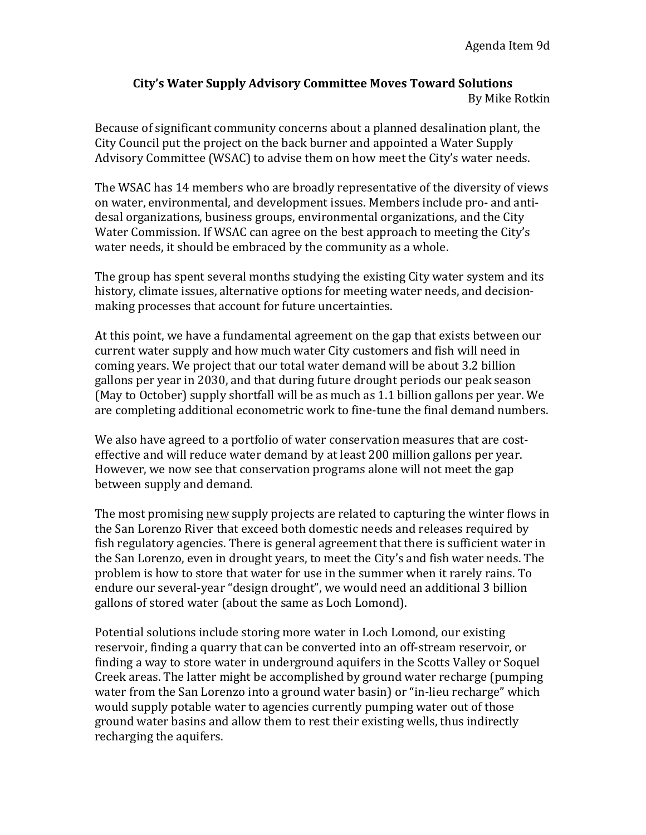## **City's Water Supply Advisory Committee Moves Toward Solutions** By Mike Rotkin

Because of significant community concerns about a planned desalination plant, the City Council put the project on the back burner and appointed a Water Supply Advisory Committee (WSAC) to advise them on how meet the City's water needs.

The WSAC has 14 members who are broadly representative of the diversity of views on water, environmental, and development issues. Members include pro- and antidesal organizations, business groups, environmental organizations, and the City Water Commission. If WSAC can agree on the best approach to meeting the City's water needs, it should be embraced by the community as a whole.

The group has spent several months studying the existing City water system and its history, climate issues, alternative options for meeting water needs, and decisionmaking processes that account for future uncertainties.

At this point, we have a fundamental agreement on the gap that exists between our current water supply and how much water City customers and fish will need in coming years. We project that our total water demand will be about 3.2 billion gallons per year in 2030, and that during future drought periods our peak season (May to October) supply shortfall will be as much as 1.1 billion gallons per year. We are completing additional econometric work to fine-tune the final demand numbers.

We also have agreed to a portfolio of water conservation measures that are costeffective and will reduce water demand by at least 200 million gallons per year. However, we now see that conservation programs alone will not meet the gap between supply and demand.

The most promising new supply projects are related to capturing the winter flows in the San Lorenzo River that exceed both domestic needs and releases required by fish regulatory agencies. There is general agreement that there is sufficient water in the San Lorenzo, even in drought years, to meet the City's and fish water needs. The problem is how to store that water for use in the summer when it rarely rains. To endure our several-year "design drought", we would need an additional 3 billion gallons of stored water (about the same as Loch Lomond).

Potential solutions include storing more water in Loch Lomond, our existing reservoir, finding a quarry that can be converted into an off-stream reservoir, or finding a way to store water in underground aquifers in the Scotts Valley or Soquel Creek areas. The latter might be accomplished by ground water recharge (pumping water from the San Lorenzo into a ground water basin) or "in-lieu recharge" which would supply potable water to agencies currently pumping water out of those ground water basins and allow them to rest their existing wells, thus indirectly recharging the aquifers.